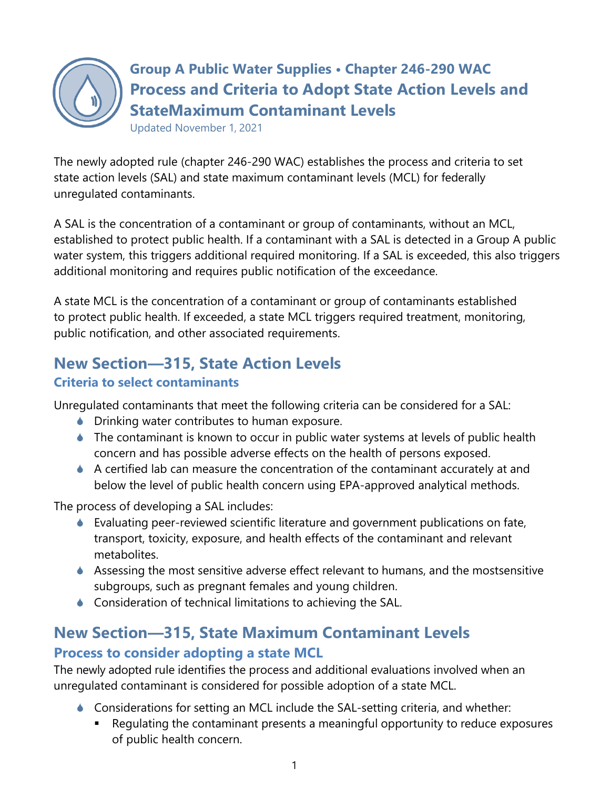

**Group A Public Water Supplies • Chapter 246-290 WAC Process and Criteria to Adopt State Action Levels and StateMaximum Contaminant Levels**

Updated November 1, 2021

The newly adopted rule (chapter 246-290 WAC) establishes the process and criteria to set state action levels (SAL) and state maximum contaminant levels (MCL) for federally unregulated contaminants.

A SAL is the concentration of a contaminant or group of contaminants, without an MCL, established to protect public health. If a contaminant with a SAL is detected in a Group A public water system, this triggers additional required monitoring. If a SAL is exceeded, this also triggers additional monitoring and requires public notification of the exceedance.

A state MCL is the concentration of a contaminant or group of contaminants established to protect public health. If exceeded, a state MCL triggers required treatment, monitoring, public notification, and other associated requirements.

## **New Section—315, State Action Levels**

### **Criteria to select contaminants**

Unregulated contaminants that meet the following criteria can be considered for a SAL:

- **Drinking water contributes to human exposure.**
- ◆ The contaminant is known to occur in public water systems at levels of public health concern and has possible adverse effects on the health of persons exposed.
- A certified lab can measure the concentration of the contaminant accurately at and below the level of public health concern using EPA-approved analytical methods.

The process of developing a SAL includes:

- Evaluating peer-reviewed scientific literature and government publications on fate, transport, toxicity, exposure, and health effects of the contaminant and relevant metabolites.
- Assessing the most sensitive adverse effect relevant to humans, and the mostsensitive subgroups, such as pregnant females and young children.
- **Consideration of technical limitations to achieving the SAL.**

### **New Section—315, State Maximum Contaminant Levels Process to consider adopting a state MCL**

The newly adopted rule identifies the process and additional evaluations involved when an unregulated contaminant is considered for possible adoption of a state MCL.

- Considerations for setting an MCL include the SAL-setting criteria, and whether:
	- Regulating the contaminant presents a meaningful opportunity to reduce exposures of public health concern.